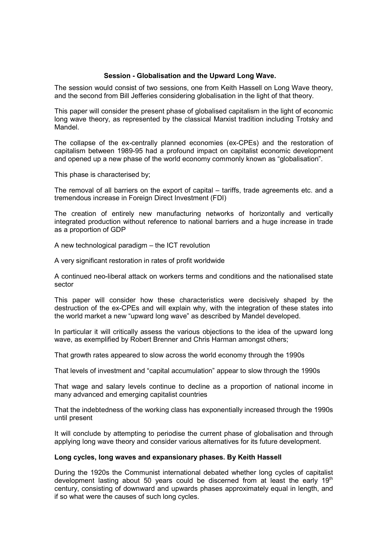## Session - Globalisation and the Upward Long Wave.

The session would consist of two sessions, one from Keith Hassell on Long Wave theory, and the second from Bill Jefferies considering globalisation in the light of that theory.

This paper will consider the present phase of globalised capitalism in the light of economic long wave theory, as represented by the classical Marxist tradition including Trotsky and **Mandel** 

The collapse of the ex-centrally planned economies (ex-CPEs) and the restoration of capitalism between 1989-95 had a profound impact on capitalist economic development and opened up a new phase of the world economy commonly known as "globalisation".

This phase is characterised by;

The removal of all barriers on the export of capital – tariffs, trade agreements etc. and a tremendous increase in Foreign Direct Investment (FDI)

The creation of entirely new manufacturing networks of horizontally and vertically integrated production without reference to national barriers and a huge increase in trade as a proportion of GDP

A new technological paradigm – the ICT revolution

A very significant restoration in rates of profit worldwide

A continued neo-liberal attack on workers terms and conditions and the nationalised state sector

This paper will consider how these characteristics were decisively shaped by the destruction of the ex-CPEs and will explain why, with the integration of these states into the world market a new "upward long wave" as described by Mandel developed.

In particular it will critically assess the various objections to the idea of the upward long wave, as exemplified by Robert Brenner and Chris Harman amongst others;

That growth rates appeared to slow across the world economy through the 1990s

That levels of investment and "capital accumulation" appear to slow through the 1990s

That wage and salary levels continue to decline as a proportion of national income in many advanced and emerging capitalist countries

That the indebtedness of the working class has exponentially increased through the 1990s until present

It will conclude by attempting to periodise the current phase of globalisation and through applying long wave theory and consider various alternatives for its future development.

#### Long cycles, long waves and expansionary phases. By Keith Hassell

During the 1920s the Communist international debated whether long cycles of capitalist development lasting about 50 years could be discerned from at least the early  $19<sup>th</sup>$ century, consisting of downward and upwards phases approximately equal in length, and if so what were the causes of such long cycles.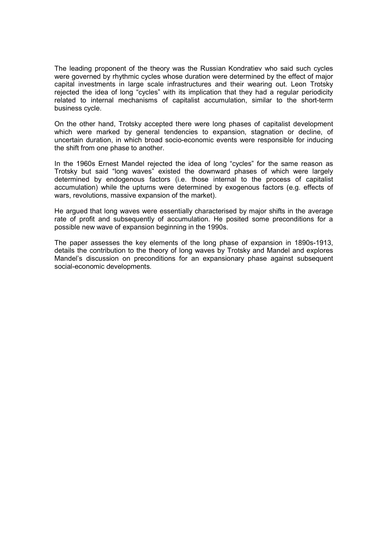The leading proponent of the theory was the Russian Kondratiev who said such cycles were governed by rhythmic cycles whose duration were determined by the effect of major capital investments in large scale infrastructures and their wearing out. Leon Trotsky rejected the idea of long "cycles" with its implication that they had a regular periodicity related to internal mechanisms of capitalist accumulation, similar to the short-term business cycle.

On the other hand, Trotsky accepted there were long phases of capitalist development which were marked by general tendencies to expansion, stagnation or decline, of uncertain duration, in which broad socio-economic events were responsible for inducing the shift from one phase to another.

In the 1960s Ernest Mandel rejected the idea of long "cycles" for the same reason as Trotsky but said "long waves" existed the downward phases of which were largely determined by endogenous factors (i.e. those internal to the process of capitalist accumulation) while the upturns were determined by exogenous factors (e.g. effects of wars, revolutions, massive expansion of the market).

He argued that long waves were essentially characterised by major shifts in the average rate of profit and subsequently of accumulation. He posited some preconditions for a possible new wave of expansion beginning in the 1990s.

The paper assesses the key elements of the long phase of expansion in 1890s-1913, details the contribution to the theory of long waves by Trotsky and Mandel and explores Mandel's discussion on preconditions for an expansionary phase against subsequent social-economic developments.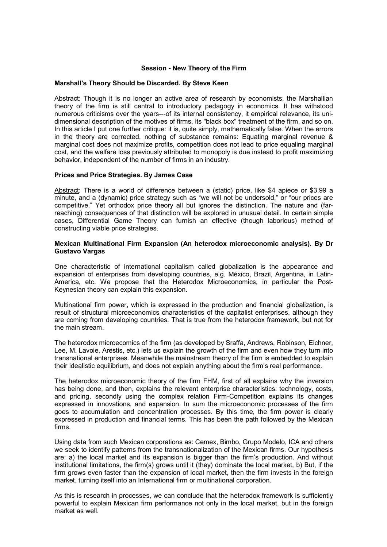### Session - New Theory of the Firm

#### Marshall's Theory Should be Discarded. By Steve Keen

Abstract: Though it is no longer an active area of research by economists, the Marshallian theory of the firm is still central to introductory pedagogy in economics. It has withstood numerous criticisms over the years---of its internal consistency, it empirical relevance, its unidimensional description of the motives of firms, its "black box" treatment of the firm, and so on. In this article I put one further critique: it is, quite simply, mathematically false. When the errors in the theory are corrected, nothing of substance remains: Equating marginal revenue & marginal cost does not maximize profits, competition does not lead to price equaling marginal cost, and the welfare loss previously attributed to monopoly is due instead to profit maximizing behavior, independent of the number of firms in an industry.

#### Prices and Price Strategies. By James Case

Abstract: There is a world of difference between a (static) price, like \$4 apiece or \$3.99 a minute, and a (dynamic) price strategy such as "we will not be undersold," or "our prices are competitive." Yet orthodox price theory all but ignores the distinction. The nature and (farreaching) consequences of that distinction will be explored in unusual detail. In certain simple cases, Differential Game Theory can furnish an effective (though laborious) method of constructing viable price strategies.

#### Mexican Multinational Firm Expansion (An heterodox microeconomic analysis). By Dr Gustavo Vargas

One characteristic of international capitalism called globalization is the appearance and expansion of enterprises from developing countries, e.g. México, Brazil, Argentina, in Latin-America, etc. We propose that the Heterodox Microeconomics, in particular the Post-Keynesian theory can explain this expansion.

Multinational firm power, which is expressed in the production and financial globalization, is result of structural microeconomics characteristics of the capitalist enterprises, although they are coming from developing countries. That is true from the heterodox framework, but not for the main stream.

The heterodox microecomics of the firm (as developed by Sraffa, Andrews, Robinson, Eichner, Lee, M. Lavoie, Arestis, etc.) lets us explain the growth of the firm and even how they turn into transnational enterprises. Meanwhile the mainstream theory of the firm is embedded to explain their idealistic equilibrium, and does not explain anything about the firm's real performance.

The heterodox microeconomic theory of the firm FHM, first of all explains why the inversion has being done, and then, explains the relevant enterprise characteristics: technology, costs, and pricing, secondly using the complex relation Firm-Competition explains its changes expressed in innovations, and expansion. In sum the microeconomic processes of the firm goes to accumulation and concentration processes. By this time, the firm power is clearly expressed in production and financial terms. This has been the path followed by the Mexican firms.

Using data from such Mexican corporations as: Cemex, Bimbo, Grupo Modelo, ICA and others we seek to identify patterns from the transnationalization of the Mexican firms. Our hypothesis are: a) the local market and its expansion is bigger than the firm's production. And without institutional limitations, the firm(s) grows until it (they) dominate the local market, b) But, if the firm grows even faster than the expansion of local market, then the firm invests in the foreign market, turning itself into an International firm or multinational corporation.

As this is research in processes, we can conclude that the heterodox framework is sufficiently powerful to explain Mexican firm performance not only in the local market, but in the foreign market as well.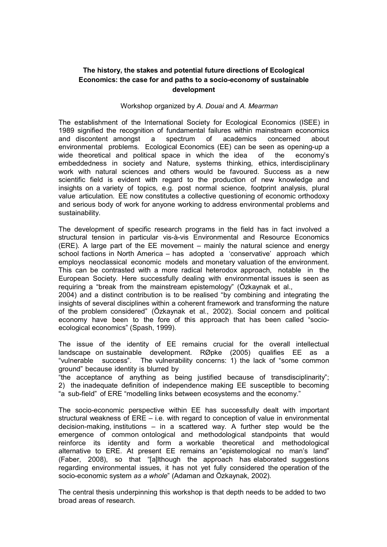# The history, the stakes and potential future directions of Ecological Economics: the case for and paths to a socio-economy of sustainable development

### Workshop organized by A. Douai and A. Mearman

The establishment of the International Society for Ecological Economics (ISEE) in 1989 signified the recognition of fundamental failures within mainstream economics and discontent amongst a spectrum of academics concerned about environmental problems. Ecological Economics (EE) can be seen as opening-up a wide theoretical and political space in which the idea of the economy's embeddedness in society and Nature, systems thinking, ethics, interdisciplinary work with natural sciences and others would be favoured. Success as a new scientific field is evident with regard to the production of new knowledge and insights on a variety of topics, e.g. post normal science, footprint analysis, plural value articulation. EE now constitutes a collective questioning of economic orthodoxy and serious body of work for anyone working to address environmental problems and sustainability.

The development of specific research programs in the field has in fact involved a structural tension in particular vis-à-vis Environmental and Resource Economics (ERE). A large part of the EE movement – mainly the natural science and energy school factions in North America – has adopted a 'conservative' approach which employs neoclassical economic models and monetary valuation of the environment. This can be contrasted with a more radical heterodox approach, notable in the European Society. Here successfully dealing with environmental issues is seen as requiring a "break from the mainstream epistemology" (Özkaynak et al.,

2004) and a distinct contribution is to be realised "by combining and integrating the insights of several disciplines within a coherent framework and transforming the nature of the problem considered" (Özkaynak et al., 2002). Social concern and political economy have been to the fore of this approach that has been called "socioecological economics" (Spash, 1999).

The issue of the identity of EE remains crucial for the overall intellectual landscape on sustainable development. RØpke (2005) qualifies EE as a "vulnerable success". The vulnerability concerns: 1) the lack of "some common ground" because identity is blurred by

"the acceptance of anything as being justified because of transdisciplinarity"; 2) the inadequate definition of independence making EE susceptible to becoming "a sub-field" of ERE "modelling links between ecosystems and the economy."

The socio-economic perspective within EE has successfully dealt with important structural weakness of ERE – i.e. with regard to conception of value in environmental decision-making, institutions – in a scattered way. A further step would be the emergence of common ontological and methodological standpoints that would reinforce its identity and form a workable theoretical and methodological alternative to ERE. At present EE remains an "epistemological no man's land" (Faber, 2008), so that "[a]lthough the approach has elaborated suggestions regarding environmental issues, it has not yet fully considered the operation of the socio-economic system as a whole" (Adaman and Özkaynak, 2002).

The central thesis underpinning this workshop is that depth needs to be added to two broad areas of research.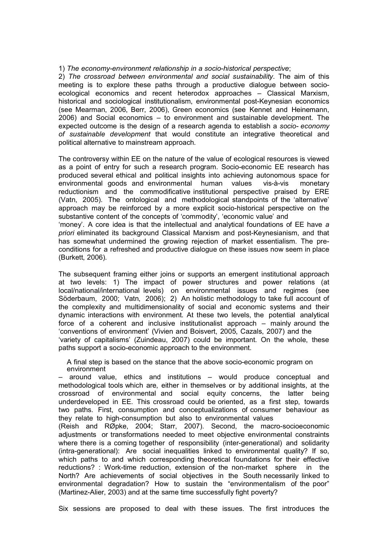## 1) The economy-environment relationship in a socio-historical perspective;

2) The crossroad between environmental and social sustainability. The aim of this meeting is to explore these paths through a productive dialogue between socioecological economics and recent heterodox approaches – Classical Marxism, historical and sociological institutionalism, environmental post-Keynesian economics (see Mearman, 2006, Berr, 2006), Green economics (see Kennet and Heinemann, 2006) and Social economics – to environment and sustainable development. The expected outcome is the design of a research agenda to establish a socio- economy of sustainable development that would constitute an integrative theoretical and political alternative to mainstream approach.

The controversy within EE on the nature of the value of ecological resources is viewed as a point of entry for such a research program. Socio-economic EE research has produced several ethical and political insights into achieving autonomous space for environmental goods and environmental human values vis-à-vis monetary reductionism and the commodificative institutional perspective praised by ERE (Vatn, 2005). The ontological and methodological standpoints of the 'alternative' approach may be reinforced by a more explicit socio-historical perspective on the substantive content of the concepts of 'commodity', 'economic value' and 'money'. A core idea is that the intellectual and analytical foundations of EE have a priori eliminated its background Classical Marxism and post-Keynesianism, and that has somewhat undermined the growing rejection of market essentialism. The preconditions for a refreshed and productive dialogue on these issues now seem in place (Burkett, 2006).

The subsequent framing either joins or supports an emergent institutional approach at two levels: 1) The impact of power structures and power relations (at local/national/international levels) on environmental issues and regimes (see Söderbaum, 2000; Vatn, 2006); 2) An holistic methodology to take full account of the complexity and multidimensionality of social and economic systems and their dynamic interactions with environment. At these two levels, the potential analytical force of a coherent and inclusive institutionalist approach – mainly around the 'conventions of environment' (Vivien and Boisvert, 2005, Cazals, 2007) and the 'variety of capitalisms' (Zuindeau, 2007) could be important. On the whole, these paths support a socio-economic approach to the environment.

A final step is based on the stance that the above socio-economic program on environment

– around value, ethics and institutions – would produce conceptual and methodological tools which are, either in themselves or by additional insights, at the crossroad of environmental and social equity concerns, the latter being underdeveloped in EE. This crossroad could be oriented, as a first step, towards two paths. First, consumption and conceptualizations of consumer behaviour as they relate to high-consumption but also to environmental values

(Reish and RØpke, 2004; Starr, 2007). Second, the macro-socioeconomic adjustments or transformations needed to meet objective environmental constraints where there is a coming together of responsibility (inter-generational) and solidarity (intra-generational): Are social inequalities linked to environmental quality? If so, which paths to and which corresponding theoretical foundations for their effective reductions? : Work-time reduction, extension of the non-market sphere in the North? Are achievements of social objectives in the South necessarily linked to environmental degradation? How to sustain the "environmentalism of the poor" (Martinez-Alier, 2003) and at the same time successfully fight poverty?

Six sessions are proposed to deal with these issues. The first introduces the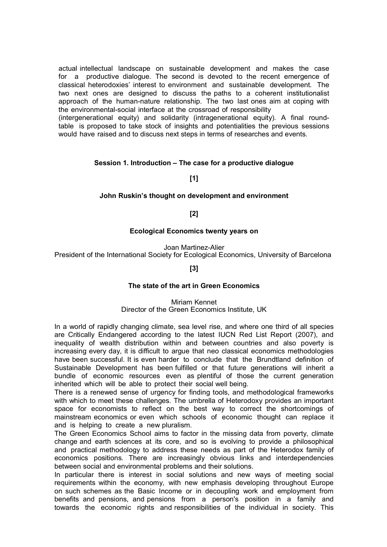actual intellectual landscape on sustainable development and makes the case for a productive dialogue. The second is devoted to the recent emergence of classical heterodoxies' interest to environment and sustainable development. The two next ones are designed to discuss the paths to a coherent institutionalist approach of the human-nature relationship. The two last ones aim at coping with the environmental-social interface at the crossroad of responsibility

(intergenerational equity) and solidarity (intragenerational equity). A final roundtable is proposed to take stock of insights and potentialities the previous sessions would have raised and to discuss next steps in terms of researches and events.

## Session 1. Introduction – The case for a productive dialogue

[1]

### John Ruskin's thought on development and environment

[2]

### Ecological Economics twenty years on

Joan Martinez-Alier

President of the International Society for Ecological Economics, University of Barcelona

[3]

#### The state of the art in Green Economics

Miriam Kennet Director of the Green Economics Institute, UK

In a world of rapidly changing climate, sea level rise, and where one third of all species are Critically Endangered according to the latest IUCN Red List Report (2007), and inequality of wealth distribution within and between countries and also poverty is increasing every day, it is difficult to argue that neo classical economics methodologies have been successful. It is even harder to conclude that the Brundtland definition of Sustainable Development has been fulfilled or that future generations will inherit a bundle of economic resources even as plentiful of those the current generation inherited which will be able to protect their social well being.

There is a renewed sense of urgency for finding tools, and methodological frameworks with which to meet these challenges. The umbrella of Heterodoxy provides an important space for economists to reflect on the best way to correct the shortcomings of mainstream economics or even which schools of economic thought can replace it and is helping to create a new pluralism.

The Green Economics School aims to factor in the missing data from poverty, climate change and earth sciences at its core, and so is evolving to provide a philosophical and practical methodology to address these needs as part of the Heterodox family of economics positions. There are increasingly obvious links and interdependencies between social and environmental problems and their solutions.

In particular there is interest in social solutions and new ways of meeting social requirements within the economy, with new emphasis developing throughout Europe on such schemes as the Basic Income or in decoupling work and employment from benefits and pensions, and pensions from a person's position in a family and towards the economic rights and responsibilities of the individual in society. This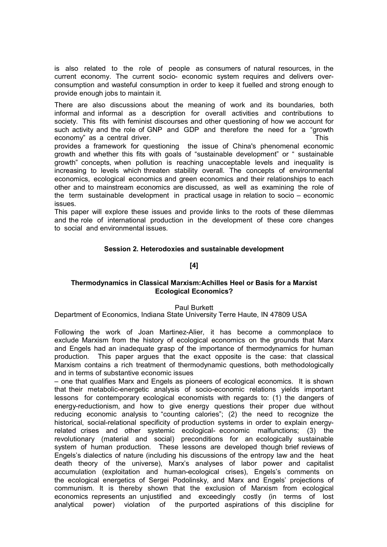is also related to the role of people as consumers of natural resources, in the current economy. The current socio- economic system requires and delivers overconsumption and wasteful consumption in order to keep it fuelled and strong enough to provide enough jobs to maintain it.

There are also discussions about the meaning of work and its boundaries, both informal and informal as a description for overall activities and contributions to society. This fits with feminist discourses and other questioning of how we account for such activity and the role of GNP and GDP and therefore the need for a "growth economy" as a central driver. This example of the state of the state of the state of the state of the state of the state of the state of the state of the state of the state of the state of the state of the state of the sta

provides a framework for questioning the issue of China's phenomenal economic growth and whether this fits with goals of "sustainable development" or " sustainable growth" concepts, when pollution is reaching unacceptable levels and inequality is increasing to levels which threaten stability overall. The concepts of environmental economics, ecological economics and green economics and their relationships to each other and to mainstream economics are discussed, as well as examining the role of the term sustainable development in practical usage in relation to socio – economic issues.

This paper will explore these issues and provide links to the roots of these dilemmas and the role of international production in the development of these core changes to social and environmental issues.

# Session 2. Heterodoxies and sustainable development

## [4]

## Thermodynamics in Classical Marxism:Achilles Heel or Basis for a Marxist Ecological Economics?

Paul Burkett

Department of Economics, Indiana State University Terre Haute, IN 47809 USA

Following the work of Joan Martinez-Alier, it has become a commonplace to exclude Marxism from the history of ecological economics on the grounds that Marx and Engels had an inadequate grasp of the importance of thermodynamics for human production. This paper argues that the exact opposite is the case: that classical Marxism contains a rich treatment of thermodynamic questions, both methodologically and in terms of substantive economic issues

– one that qualifies Marx and Engels as pioneers of ecological economics. It is shown that their metabolic-energetic analysis of socio-economic relations yields important lessons for contemporary ecological economists with regards to: (1) the dangers of energy-reductionism, and how to give energy questions their proper due without reducing economic analysis to "counting calories"; (2) the need to recognize the historical, social-relational specificity of production systems in order to explain energyrelated crises and other systemic ecological- economic malfunctions; (3) the revolutionary (material and social) preconditions for an ecologically sustainable system of human production. These lessons are developed though brief reviews of Engels's dialectics of nature (including his discussions of the entropy law and the heat death theory of the universe), Marx's analyses of labor power and capitalist accumulation (exploitation and human-ecological crises), Engels's comments on the ecological energetics of Sergei Podolinsky, and Marx and Engels' projections of communism. It is thereby shown that the exclusion of Marxism from ecological economics represents an unjustified and exceedingly costly (in terms of lost analytical power) violation of the purported aspirations of this discipline for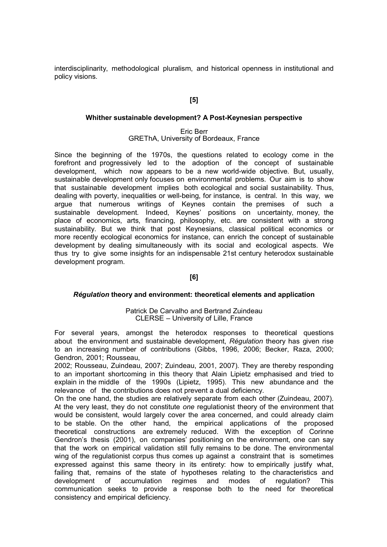interdisciplinarity, methodological pluralism, and historical openness in institutional and policy visions.

# [5]

#### Whither sustainable development? A Post-Keynesian perspective

### Eric Berr GREThA, University of Bordeaux, France

Since the beginning of the 1970s, the questions related to ecology come in the forefront and progressively led to the adoption of the concept of sustainable development, which now appears to be a new world-wide objective. But, usually, sustainable development only focuses on environmental problems. Our aim is to show that sustainable development implies both ecological and social sustainability. Thus, dealing with poverty, inequalities or well-being, for instance, is central. In this way, we argue that numerous writings of Keynes contain the premises of such a sustainable development. Indeed, Keynes' positions on uncertainty, money, the place of economics, arts, financing, philosophy, etc. are consistent with a strong sustainability. But we think that post Keynesians, classical political economics or more recently ecological economics for instance, can enrich the concept of sustainable development by dealing simultaneously with its social and ecological aspects. We thus try to give some insights for an indispensable 21st century heterodox sustainable development program.

## [6]

#### Régulation theory and environment: theoretical elements and application

### Patrick De Carvalho and Bertrand Zuindeau CLERSE – University of Lille, France

For several years, amongst the heterodox responses to theoretical questions about the environment and sustainable development. Régulation theory has given rise to an increasing number of contributions (Gibbs, 1996, 2006; Becker, Raza, 2000; Gendron, 2001; Rousseau,

2002; Rousseau, Zuindeau, 2007; Zuindeau, 2001, 2007). They are thereby responding to an important shortcoming in this theory that Alain Lipietz emphasised and tried to explain in the middle of the 1990s (Lipietz, 1995). This new abundance and the relevance of the contributions does not prevent a dual deficiency.

On the one hand, the studies are relatively separate from each other (Zuindeau, 2007). At the very least, they do not constitute one regulationist theory of the environment that would be consistent, would largely cover the area concerned, and could already claim to be stable. On the other hand, the empirical applications of the proposed theoretical constructions are extremely reduced. With the exception of Corinne Gendron's thesis (2001), on companies' positioning on the environment, one can say that the work on empirical validation still fully remains to be done. The environmental wing of the regulationist corpus thus comes up against a constraint that is sometimes expressed against this same theory in its entirety: how to empirically justify what, failing that, remains of the state of hypotheses relating to the characteristics and development of accumulation regimes and modes of regulation? This communication seeks to provide a response both to the need for theoretical consistency and empirical deficiency.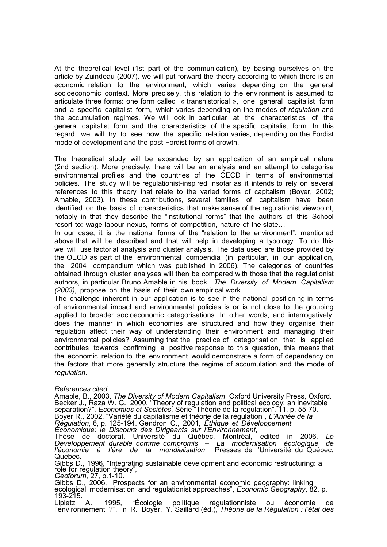At the theoretical level (1st part of the communication), by basing ourselves on the article by Zuindeau (2007), we will put forward the theory according to which there is an economic relation to the environment, which varies depending on the general socioeconomic context. More precisely, this relation to the environment is assumed to articulate three forms: one form called « transhistorical », one general capitalist form and a specific capitalist form, which varies depending on the modes of régulation and the accumulation regimes. We will look in particular at the characteristics of the general capitalist form and the characteristics of the specific capitalist form. In this regard, we will try to see how the specific relation varies, depending on the Fordist mode of development and the post-Fordist forms of growth.

The theoretical study will be expanded by an application of an empirical nature (2nd section). More precisely, there will be an analysis and an attempt to categorise environmental profiles and the countries of the OECD in terms of environmental policies. The study will be regulationist-inspired insofar as it intends to rely on several references to this theory that relate to the varied forms of capitalism (Boyer, 2002; Amable, 2003). In these contributions, several families of capitalism have been identified on the basis of characteristics that make sense of the regulationist viewpoint, notably in that they describe the "institutional forms" that the authors of this School resort to: wage-labour nexus, forms of competition, nature of the state…

In our case, it is the national forms of the "relation to the environment", mentioned above that will be described and that will help in developing a typology. To do this we will use factorial analysis and cluster analysis. The data used are those provided by the OECD as part of the environmental compendia (in particular, in our application, the 2004 compendium which was published in 2006). The categories of countries obtained through cluster analyses will then be compared with those that the regulationist authors, in particular Bruno Amable in his book, The Diversity of Modern Capitalism (2003), propose on the basis of their own empirical work.

The challenge inherent in our application is to see if the national positioning in terms of environmental impact and environmental policies is or is not close to the grouping applied to broader socioeconomic categorisations. In other words, and interrogatively, does the manner in which economies are structured and how they organise their regulation affect their way of understanding their environment and managing their environmental policies? Assuming that the practice of categorisation that is applied contributes towards confirming a positive response to this question, this means that the economic relation to the environment would demonstrate a form of dependency on the factors that more generally structure the regime of accumulation and the mode of regulation.

References cited:

Amable, B., 2003, The Diversity of Modern Capitalism, Oxford University Press, Oxford. Becker J., Raza W. G., 2000, "Theory of regulation and political ecology: an inevitable separation?", Économies et Sociétés, Série "Théorie de la regulation", 11, p. 55-70. Boyer R., 2002, "Variété du capitalisme et théorie de la régulation", L'Année de la Régulation, 6, p. 125-194. Gendron C., 2001, Éthique et Développement Économique: le Discours des Dirigeants sur l'Environnement, Thèse de doctorat, Université du Québec, Montréal, edited in 2006, Le Développement durable comme compromis – La modernisation écologique de

l'économie à l'ère de la mondialisation, Presses de l'Université du Québec, Québec.

Gibbs D., 1996, "Integrating sustainable development and economic restructuring: a role for regulation theory", Geoforum, 27, p.1-10.

Gibbs D., 2006, "Prospects for an environmental economic geography: linking ecological modernisation and regulationist approaches", Economic Geography, 82, p. 193-215.

Lipietz A., 1995, "Écologie politique régulationniste ou économie de l'environnement ?", in R. Boyer, Y. Saillard (éd.), Théorie de la Régulation : l'état des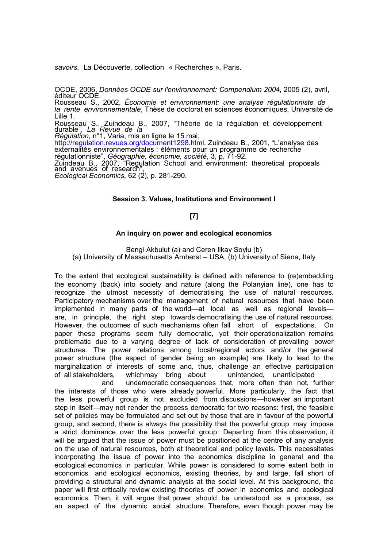savoirs, La Découverte, collection « Recherches », Paris.

OCDE, 2006, Données OCDE sur l'environnement: Compendium 2004, 2005 (2), avril, éditeur OCDE.

Rousseau S., 2002, Économie et environnement: une analyse régulationniste de la rente environnementale, Thèse de doctorat en sciences économiques, Université de Lille 1.

Rousseau S., Zuindeau B., 2007, "Théorie de la régulation et développement durable", La Revue de la

Régulation, n°1, Varia, mis en ligne le 15 mai, http://regulation.revues.org/document1298.html. Zuindeau B., 2001, "L'analyse des externalités environnementales : éléments pour un programme de recherche régulationniste", Géographie, économie, société, 3, p. 71-92. Zuindeau B., 2007, "Regulation School and environment: theoretical proposals and avenues of research", Ecological Economics, 62 (2), p. 281-290.

### Session 3. Values, Institutions and Environment I

## [7]

#### An inquiry on power and ecological economics

Bengi Akbulut (a) and Ceren Ilkay Soylu (b) (a) University of Massachusetts Amherst – USA, (b) University of Siena, Italy

To the extent that ecological sustainability is defined with reference to (re)embedding the economy (back) into society and nature (along the Polanyian line), one has to recognize the utmost necessity of democratising the use of natural resources. Participatory mechanisms over the management of natural resources that have been implemented in many parts of the world—at local as well as regional levels are, in principle, the right step towards democratising the use of natural resources. However, the outcomes of such mechanisms often fall short of expectations. On paper these programs seem fully democratic, yet their operationalization remains problematic due to a varying degree of lack of consideration of prevailing power structures. The power relations among local/regional actors and/or the general power structure (the aspect of gender being an example) are likely to lead to the marginalization of interests of some and, thus, challenge an effective participation of all stakeholders, whichmay bring about unintended, unanticipated

and undemocratic consequences that, more often than not, further the interests of those who were already powerful. More particularly, the fact that the less powerful group is not excluded from discussions—however an important step in itself—may not render the process democratic for two reasons: first, the feasible set of policies may be formulated and set out by those that are in favour of the powerful group, and second, there is always the possibility that the powerful group may impose a strict dominance over the less powerful group. Departing from this observation, it will be argued that the issue of power must be positioned at the centre of any analysis on the use of natural resources, both at theoretical and policy levels. This necessitates incorporating the issue of power into the economics discipline in general and the ecological economics in particular. While power is considered to some extent both in economics and ecological economics, existing theories, by and large, fall short of providing a structural and dynamic analysis at the social level. At this background, the paper will first critically review existing theories of power in economics and ecological economics. Then, it will argue that power should be understood as a process, as an aspect of the dynamic social structure. Therefore, even though power may be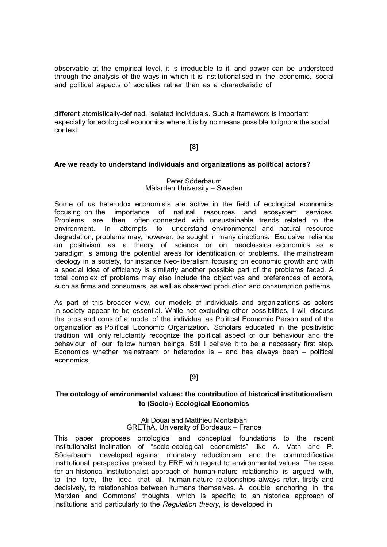observable at the empirical level, it is irreducible to it, and power can be understood through the analysis of the ways in which it is institutionalised in the economic, social and political aspects of societies rather than as a characteristic of

different atomistically-defined, isolated individuals. Such a framework is important especially for ecological economics where it is by no means possible to ignore the social context.

# [8]

## Are we ready to understand individuals and organizations as political actors?

#### Peter Söderbaum Mälarden University – Sweden

Some of us heterodox economists are active in the field of ecological economics focusing on the importance of natural resources and ecosystem services. Problems are then often connected with unsustainable trends related to the environment. In attempts to understand environmental and natural resource degradation, problems may, however, be sought in many directions. Exclusive reliance on positivism as a theory of science or on neoclassical economics as a paradigm is among the potential areas for identification of problems. The mainstream ideology in a society, for instance Neo-liberalism focusing on economic growth and with a special idea of efficiency is similarly another possible part of the problems faced. A total complex of problems may also include the objectives and preferences of actors, such as firms and consumers, as well as observed production and consumption patterns.

As part of this broader view, our models of individuals and organizations as actors in society appear to be essential. While not excluding other possibilities, I will discuss the pros and cons of a model of the individual as Political Economic Person and of the organization as Political Economic Organization. Scholars educated in the positivistic tradition will only reluctantly recognize the political aspect of our behaviour and the behaviour of our fellow human beings. Still I believe it to be a necessary first step. Economics whether mainstream or heterodox is  $-$  and has always been  $-$  political economics.

# [9]

# The ontology of environmental values: the contribution of historical institutionalism to (Socio-) Ecological Economics

#### Ali Douai and Matthieu Montalban GREThA, University of Bordeaux – France

This paper proposes ontological and conceptual foundations to the recent institutionalist inclination of "socio-ecological economists" like A. Vatn and P. Söderbaum developed against monetary reductionism and the commodificative institutional perspective praised by ERE with regard to environmental values. The case for an historical institutionalist approach of human-nature relationship is argued with, to the fore, the idea that all human-nature relationships always refer, firstly and decisively, to relationships between humans themselves. A double anchoring in the Marxian and Commons' thoughts, which is specific to an historical approach of institutions and particularly to the Regulation theory, is developed in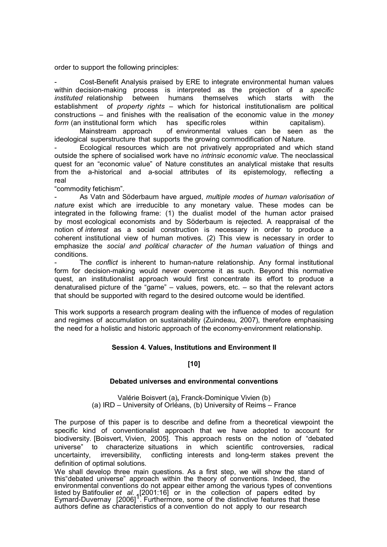order to support the following principles:

Cost-Benefit Analysis praised by ERE to integrate environmental human values within decision-making process is interpreted as the projection of a specific instituted relationship between humans themselves which starts with the establishment of *property rights –* which for historical institutionalism are political constructions – and finishes with the realisation of the economic value in the *monev* form (an institutional form which has specific roles within capitalism).

Mainstream approach of environmental values can be seen as the ideological superstructure that supports the growing commodification of Nature.

Ecological resources which are not privatively appropriated and which stand outside the sphere of socialised work have no intrinsic economic value. The neoclassical quest for an "economic value" of Nature constitutes an analytical mistake that results from the a-historical and a-social attributes of its epistemology, reflecting a real

"commodity fetichism".

As Vatn and Söderbaum have argued, multiple modes of human valorisation of nature exist which are irreducible to any monetary value. These modes can be integrated in the following frame: (1) the dualist model of the human actor praised by most ecological economists and by Söderbaum is rejected. A reappraisal of the notion of interest as a social construction is necessary in order to produce a coherent institutional view of human motives. (2) This view is necessary in order to emphasize the social and political character of the human valuation of things and conditions.

The conflict is inherent to human-nature relationship. Any formal institutional form for decision-making would never overcome it as such. Beyond this normative quest, an institutionalist approach would first concentrate its effort to produce a denaturalised picture of the "game" – values, powers, etc. – so that the relevant actors that should be supported with regard to the desired outcome would be identified.

This work supports a research program dealing with the influence of modes of regulation and regimes of accumulation on sustainability (Zuindeau, 2007), therefore emphasising the need for a holistic and historic approach of the economy-environment relationship.

## Session 4. Values, Institutions and Environment II

## [10]

#### Debated universes and environmental conventions

Valérie Boisvert (a), Franck-Dominique Vivien (b) (a) IRD – University of Orléans, (b) University of Reims – France

The purpose of this paper is to describe and define from a theoretical viewpoint the specific kind of conventionalist approach that we have adopted to account for biodiversity. [Boisvert, Vivien, 2005]. This approach rests on the notion of "debated universe" to characterize situations in which scientific controversies, radical uncertainty, irreversibility, conflicting interests and long-term stakes prevent the definition of optimal solutions.

We shall develop three main questions. As a first step, we will show the stand of this"debated universe" approach within the theory of conventions. Indeed, the environmental conventions do not appear either among the various types of conventions listed by Batifoulier et al. 12001:16] or in the collection of papers edited by<br>Eymard-Duvernay [2006] . Furthermore, some of the distinctive features that these authors define as characteristics of a convention do not apply to our research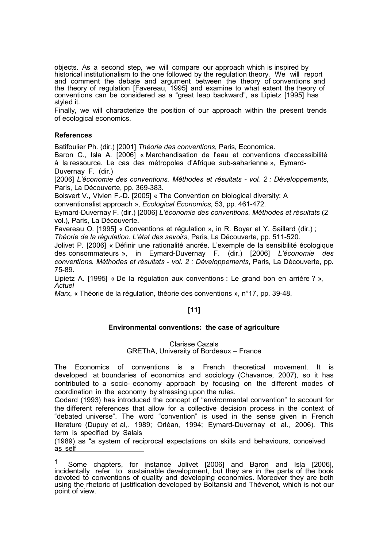objects. As a second step, we will compare our approach which is inspired by historical institutionalism to the one followed by the regulation theory. We will report and comment the debate and argument between the theory of conventions and the theory of regulation [Favereau, 1995] and examine to what extent the theory of conventions can be considered as a "great leap backward", as Lipietz [1995] has styled it.

Finally, we will characterize the position of our approach within the present trends of ecological economics.

## **References**

Batifoulier Ph. (dir.) [2001] Théorie des conventions, Paris, Economica.

Baron C., Isla A. [2006] « Marchandisation de l'eau et conventions d'accessibilité à la ressource. Le cas des métropoles d'Afrique sub-saharienne », Eymard-Duvernay F. (dir.)

[2006] L'économie des conventions. Méthodes et résultats - vol. 2 : Développements, Paris, La Découverte, pp. 369-383.

Boisvert V., Vivien F.-D. [2005] « The Convention on biological diversity: A

conventionalist approach », Ecological Economics, 53, pp. 461-472.

Eymard-Duvernay F. (dir.) [2006] L'économie des conventions. Méthodes et résultats (2 vol.), Paris, La Découverte.

Favereau O. [1995] « Conventions et régulation », in R. Boyer et Y. Saillard (dir.) ;

Théorie de la régulation. L'état des savoirs, Paris, La Découverte, pp. 511-520.

Jolivet P. [2006] « Définir une rationalité ancrée. L'exemple de la sensibilité écologique des consommateurs », in Eymard-Duvernay F. (dir.) [2006] L'économie des conventions. Méthodes et résultats - vol. 2 : Développements, Paris, La Découverte, pp. 75-89.

Lipietz A. [1995] « De la régulation aux conventions : Le grand bon en arrière ? », **Actuel** 

Marx, « Théorie de la régulation, théorie des conventions », n°17, pp. 39-48.

# [11]

# Environmental conventions: the case of agriculture

## Clarisse Cazals GREThA, University of Bordeaux – France

The Economics of conventions is a French theoretical movement. It is developed at boundaries of economics and sociology (Chavance, 2007), so it has contributed to a socio- economy approach by focusing on the different modes of coordination in the economy by stressing upon the rules.

Godard (1993) has introduced the concept of "environmental convention" to account for the different references that allow for a collective decision process in the context of "debated universe". The word "convention" is used in the sense given in French literature (Dupuy et al,. 1989; Orléan, 1994; Eymard-Duvernay et al., 2006). This term is specified by Salais

(1989) as "a system of reciprocal expectations on skills and behaviours, conceived as self

<sup>&</sup>lt;sup>1</sup> Some chapters, for instance Jolivet [2006] and Baron and Isla [2006], incidentally refer to sustainable development, but they are in the parts of the book devoted to conventions of quality and developing economies. Moreover they are both using the rhetoric of justification developed by Boltanski and Thévenot, which is not our point of view.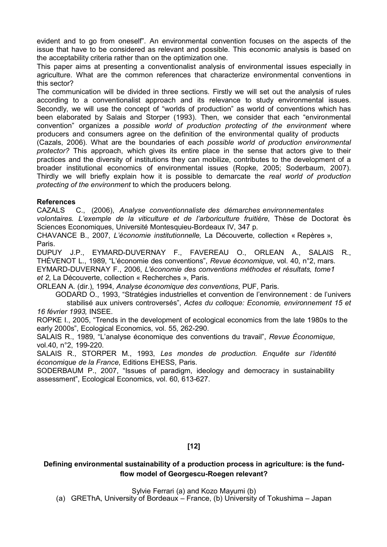evident and to go from oneself". An environmental convention focuses on the aspects of the issue that have to be considered as relevant and possible. This economic analysis is based on the acceptability criteria rather than on the optimization one.

This paper aims at presenting a conventionalist analysis of environmental issues especially in agriculture. What are the common references that characterize environmental conventions in this sector?

The communication will be divided in three sections. Firstly we will set out the analysis of rules according to a conventionalist approach and its relevance to study environmental issues. Secondly, we will use the concept of "worlds of production" as world of conventions which has been elaborated by Salais and Storper (1993). Then, we consider that each "environmental convention" organizes a possible world of production protecting of the environment where producers and consumers agree on the definition of the environmental quality of products

(Cazals, 2006). What are the boundaries of each possible world of production environmental protector? This approach, which gives its entire place in the sense that actors give to their practices and the diversity of institutions they can mobilize, contributes to the development of a broader institutional economics of environmental issues (Ropke, 2005; Soderbaum, 2007). Thirdly we will briefly explain how it is possible to demarcate the real world of production protecting of the environment to which the producers belong.

# **References**

CAZALS C., (2006), Analyse conventionnaliste des démarches environnementales volontaires. L'exemple de la viticulture et de l'arboriculture fruitière, Thèse de Doctorat ès Sciences Economiques, Université Montesquieu-Bordeaux IV, 347 p.

CHAVANCE B., 2007, L'économie institutionnelle, La Découverte, collection « Repères », Paris.

DUPUY J.P., EYMARD-DUVERNAY F., FAVEREAU O., ORLEAN A., SALAIS R., THÉVENOT L., 1989, "L'économie des conventions", Revue économique, vol. 40, n°2, mars. EYMARD-DUVERNAY F., 2006, L'économie des conventions méthodes et résultats, tome1 et 2, La Découverte, collection « Recherches », Paris.

ORLEAN A. (dir.), 1994, Analyse économique des conventions, PUF, Paris.

GODARD O., 1993, "Stratégies industrielles et convention de l'environnement : de l'univers stabilisé aux univers controversés", Actes du colloque: Economie, environnement 15 et 16 février 1993, INSEE.

ROPKE I., 2005, "Trends in the development of ecological economics from the late 1980s to the early 2000s", Ecological Economics, vol. 55, 262-290.

SALAIS R., 1989, "L'analyse économique des conventions du travail", Revue Économique, vol.40, n°2, 199-220.

SALAIS R., STORPER M., 1993, Les mondes de production. Enquête sur l'identité économique de la France, Editions EHESS, Paris.

SODERBAUM P., 2007, "Issues of paradigm, ideology and democracy in sustainability assessment", Ecological Economics, vol. 60, 613-627.

# [12]

# Defining environmental sustainability of a production process in agriculture: is the fundflow model of Georgescu-Roegen relevant?

Sylvie Ferrari (a) and Kozo Mayumi (b)

(a) GREThA, University of Bordeaux – France, (b) University of Tokushima – Japan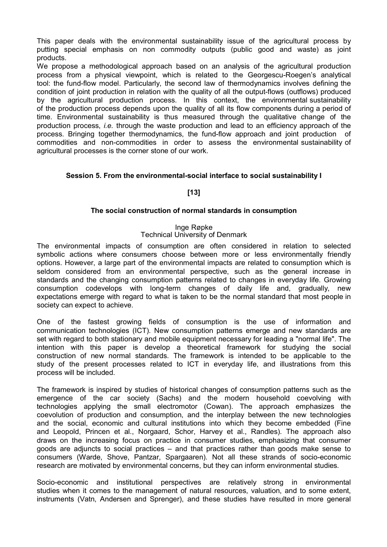This paper deals with the environmental sustainability issue of the agricultural process by putting special emphasis on non commodity outputs (public good and waste) as joint products.

We propose a methodological approach based on an analysis of the agricultural production process from a physical viewpoint, which is related to the Georgescu-Roegen's analytical tool: the fund-flow model. Particularly, the second law of thermodynamics involves defining the condition of joint production in relation with the quality of all the output-flows (outflows) produced by the agricultural production process. In this context, the environmental sustainability of the production process depends upon the quality of all its flow components during a period of time. Environmental sustainability is thus measured through the qualitative change of the production process, i.e. through the waste production and lead to an efficiency approach of the process. Bringing together thermodynamics, the fund-flow approach and joint production of commodities and non-commodities in order to assess the environmental sustainability of agricultural processes is the corner stone of our work.

# Session 5. From the environmental-social interface to social sustainability I

# [13]

# The social construction of normal standards in consumption

## Inge Røpke Technical University of Denmark

The environmental impacts of consumption are often considered in relation to selected symbolic actions where consumers choose between more or less environmentally friendly options. However, a large part of the environmental impacts are related to consumption which is seldom considered from an environmental perspective, such as the general increase in standards and the changing consumption patterns related to changes in everyday life. Growing consumption codevelops with long-term changes of daily life and, gradually, new expectations emerge with regard to what is taken to be the normal standard that most people in society can expect to achieve.

One of the fastest growing fields of consumption is the use of information and communication technologies (ICT). New consumption patterns emerge and new standards are set with regard to both stationary and mobile equipment necessary for leading a "normal life". The intention with this paper is develop a theoretical framework for studying the social construction of new normal standards. The framework is intended to be applicable to the study of the present processes related to ICT in everyday life, and illustrations from this process will be included.

The framework is inspired by studies of historical changes of consumption patterns such as the emergence of the car society (Sachs) and the modern household coevolving with technologies applying the small electromotor (Cowan). The approach emphasizes the coevolution of production and consumption, and the interplay between the new technologies and the social, economic and cultural institutions into which they become embedded (Fine and Leopold, Princen et al., Norgaard, Schor, Harvey et al., Randles). The approach also draws on the increasing focus on practice in consumer studies, emphasizing that consumer goods are adjuncts to social practices – and that practices rather than goods make sense to consumers (Warde, Shove, Pantzar, Spargaaren). Not all these strands of socio-economic research are motivated by environmental concerns, but they can inform environmental studies.

Socio-economic and institutional perspectives are relatively strong in environmental studies when it comes to the management of natural resources, valuation, and to some extent, instruments (Vatn, Andersen and Sprenger), and these studies have resulted in more general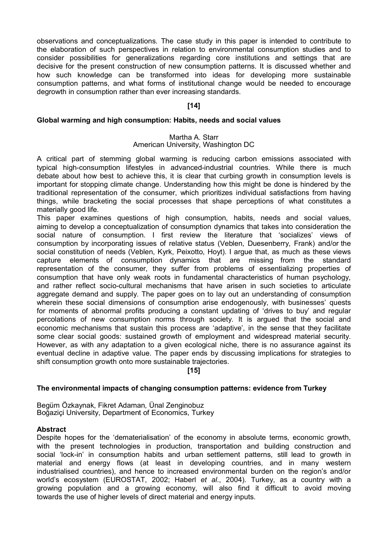observations and conceptualizations. The case study in this paper is intended to contribute to the elaboration of such perspectives in relation to environmental consumption studies and to consider possibilities for generalizations regarding core institutions and settings that are decisive for the present construction of new consumption patterns. It is discussed whether and how such knowledge can be transformed into ideas for developing more sustainable consumption patterns, and what forms of institutional change would be needed to encourage degrowth in consumption rather than ever increasing standards.

# [14]

## Global warming and high consumption: Habits, needs and social values

## Martha A. Starr American University, Washington DC

A critical part of stemming global warming is reducing carbon emissions associated with typical high-consumption lifestyles in advanced-industrial countries. While there is much debate about how best to achieve this, it is clear that curbing growth in consumption levels is important for stopping climate change. Understanding how this might be done is hindered by the traditional representation of the consumer, which prioritizes individual satisfactions from having things, while bracketing the social processes that shape perceptions of what constitutes a materially good life.

This paper examines questions of high consumption, habits, needs and social values, aiming to develop a conceptualization of consumption dynamics that takes into consideration the social nature of consumption. I first review the literature that 'socializes' views of consumption by incorporating issues of relative status (Veblen, Duesenberry, Frank) and/or the social constitution of needs (Veblen, Kyrk, Peixotto, Hoyt). I argue that, as much as these views capture elements of consumption dynamics that are missing from the standard representation of the consumer, they suffer from problems of essentializing properties of consumption that have only weak roots in fundamental characteristics of human psychology, and rather reflect socio-cultural mechanisms that have arisen in such societies to articulate aggregate demand and supply. The paper goes on to lay out an understanding of consumption wherein these social dimensions of consumption arise endogenously, with businesses' quests for moments of abnormal profits producing a constant updating of 'drives to buy' and regular percolations of new consumption norms through society. It is argued that the social and economic mechanisms that sustain this process are 'adaptive', in the sense that they facilitate some clear social goods: sustained growth of employment and widespread material security. However, as with any adaptation to a given ecological niche, there is no assurance against its eventual decline in adaptive value. The paper ends by discussing implications for strategies to shift consumption growth onto more sustainable trajectories.

# [15]

# The environmental impacts of changing consumption patterns: evidence from Turkey

Begüm Özkaynak, Fikret Adaman, Ünal Zenginobuz Boğaziçi University, Department of Economics, Turkey

## Abstract

Despite hopes for the 'dematerialisation' of the economy in absolute terms, economic growth, with the present technologies in production, transportation and building construction and social 'lock-in' in consumption habits and urban settlement patterns, still lead to growth in material and energy flows (at least in developing countries, and in many western industrialised countries), and hence to increased environmental burden on the region's and/or world's ecosystem (EUROSTAT, 2002; Haberl et al., 2004). Turkey, as a country with a growing population and a growing economy, will also find it difficult to avoid moving towards the use of higher levels of direct material and energy inputs.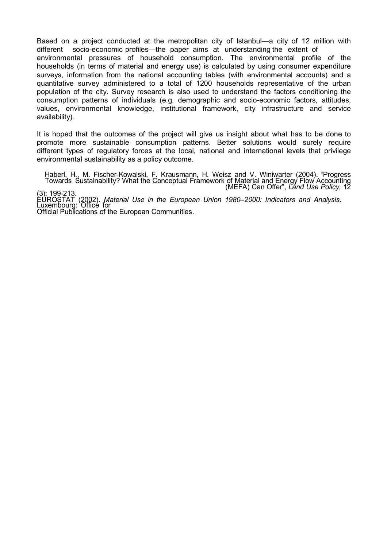Based on a project conducted at the metropolitan city of Istanbul—a city of 12 million with different socio-economic profiles—the paper aims at understanding the extent of environmental pressures of household consumption. The environmental profile of the households (in terms of material and energy use) is calculated by using consumer expenditure surveys, information from the national accounting tables (with environmental accounts) and a quantitative survey administered to a total of 1200 households representative of the urban population of the city. Survey research is also used to understand the factors conditioning the consumption patterns of individuals (e.g. demographic and socio-economic factors, attitudes, values, environmental knowledge, institutional framework, city infrastructure and service availability).

It is hoped that the outcomes of the project will give us insight about what has to be done to promote more sustainable consumption patterns. Better solutions would surely require different types of regulatory forces at the local, national and international levels that privilege environmental sustainability as a policy outcome.

Haberl, H., M. Fischer-Kowalski, F. Krausmann, H. Weisz and V. Winiwarter (2004). "Progress Towards Sustainability? What the Conceptual Framework of Material and Energy Flow Accounting (MEFA) Can Offer", Lánd Use Policy, 12

(3): 199-213. EUROSTAT (2002). Material Use in the European Union 1980–2000: Indicators and Analysis. Luxembourg: Office for Official Publications of the European Communities.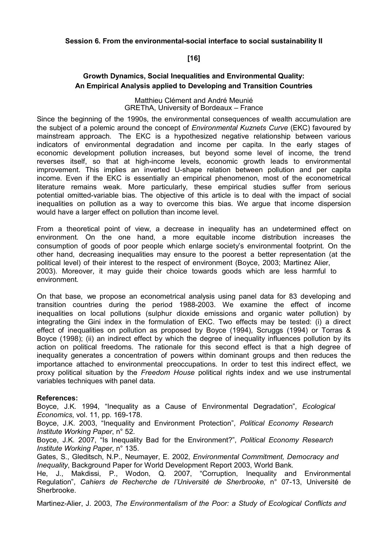Session 6. From the environmental-social interface to social sustainability II

# [16]

# Growth Dynamics, Social Inequalities and Environmental Quality: An Empirical Analysis applied to Developing and Transition Countries

### Matthieu Clément and André Meunié GREThA, University of Bordeaux – France

Since the beginning of the 1990s, the environmental consequences of wealth accumulation are the subject of a polemic around the concept of *Environmental Kuznets Curve* (EKC) favoured by mainstream approach. The EKC is a hypothesized negative relationship between various indicators of environmental degradation and income per capita. In the early stages of economic development pollution increases, but beyond some level of income, the trend reverses itself, so that at high-income levels, economic growth leads to environmental improvement. This implies an inverted U-shape relation between pollution and per capita income. Even if the EKC is essentially an empirical phenomenon, most of the econometrical literature remains weak. More particularly, these empirical studies suffer from serious potential omitted-variable bias. The objective of this article is to deal with the impact of social inequalities on pollution as a way to overcome this bias. We argue that income dispersion would have a larger effect on pollution than income level.

From a theoretical point of view, a decrease in inequality has an undetermined effect on environment. On the one hand, a more equitable income distribution increases the consumption of goods of poor people which enlarge society's environmental footprint. On the other hand, decreasing inequalities may ensure to the poorest a better representation (at the political level) of their interest to the respect of environment (Boyce, 2003; Martinez Alier, 2003). Moreover, it may guide their choice towards goods which are less harmful to environment.

On that base, we propose an econometrical analysis using panel data for 83 developing and transition countries during the period 1988-2003. We examine the effect of income inequalities on local pollutions (sulphur dioxide emissions and organic water pollution) by integrating the Gini index in the formulation of EKC. Two effects may be tested: (i) a direct effect of inequalities on pollution as proposed by Boyce (1994), Scruggs (1994) or Torras & Boyce (1998); (ii) an indirect effect by which the degree of inequality influences pollution by its action on political freedoms. The rationale for this second effect is that a high degree of inequality generates a concentration of powers within dominant groups and then reduces the importance attached to environmental preoccupations. In order to test this indirect effect, we proxy political situation by the Freedom House political rights index and we use instrumental variables techniques with panel data.

# References:

Boyce, J.K. 1994, "Inequality as a Cause of Environmental Degradation", Ecological Economics, vol. 11, pp. 169-178.

Boyce, J.K. 2003, "Inequality and Environment Protection", Political Economy Research Institute Working Paper, n° 52.

Boyce, J.K. 2007, "Is Inequality Bad for the Environment?", Political Economy Research Institute Working Paper, n° 135.

Gates, S., Gleditsch, N.P., Neumayer, E. 2002, Environmental Commitment, Democracy and Inequality, Background Paper for World Development Report 2003, World Bank.

He, J., Makdissi, P., Wodon, Q. 2007, "Corruption, Inequality and Environmental Regulation", Cahiers de Recherche de l'Université de Sherbrooke, n° 07-13, Université de Sherbrooke.

Martinez-Alier, J. 2003, The Environmentalism of the Poor: a Study of Ecological Conflicts and